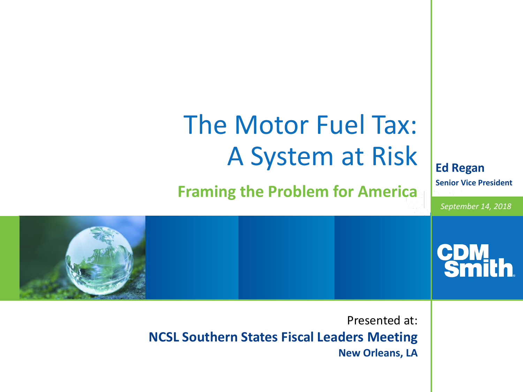## The Motor Fuel Tax: A System at Risk **Ed Regan Senior Vice President Framing the Problem for America** *September 14, 2018* **CDM**<br>Smi Presented at: **NCSL Southern States Fiscal Leaders Meeting New Orleans, LA**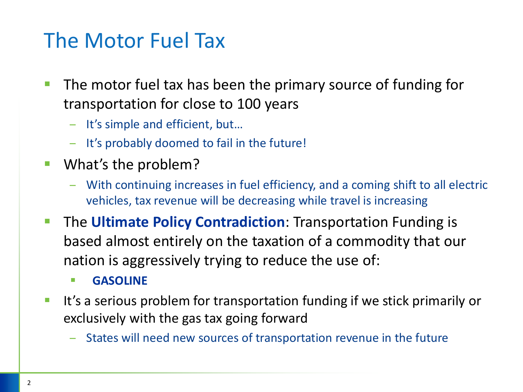#### The Motor Fuel Tax

- The motor fuel tax has been the primary source of funding for transportation for close to 100 years
	- It's simple and efficient, but…
	- It's probably doomed to fail in the future!
- What's the problem?
	- With continuing increases in fuel efficiency, and a coming shift to all electric vehicles, tax revenue will be decreasing while travel is increasing
- **The Ultimate Policy Contradiction:** Transportation Funding is based almost entirely on the taxation of a commodity that our nation is aggressively trying to reduce the use of:
	- **GASOLINE**
- It's a serious problem for transportation funding if we stick primarily or exclusively with the gas tax going forward
	- States will need new sources of transportation revenue in the future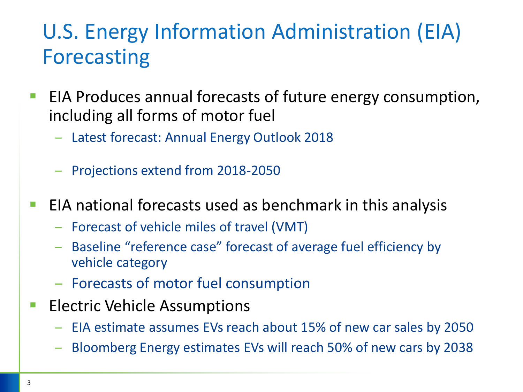### U.S. Energy Information Administration (EIA) Forecasting

- EIA Produces annual forecasts of future energy consumption, including all forms of motor fuel
	- Latest forecast: Annual Energy Outlook 2018
	- Projections extend from 2018-2050
- EIA national forecasts used as benchmark in this analysis
	- Forecast of vehicle miles of travel (VMT)
	- Baseline "reference case" forecast of average fuel efficiency by vehicle category
	- Forecasts of motor fuel consumption
- **Electric Vehicle Assumptions** 
	- EIA estimate assumes EVs reach about 15% of new car sales by 2050
	- Bloomberg Energy estimates EVs will reach 50% of new cars by 2038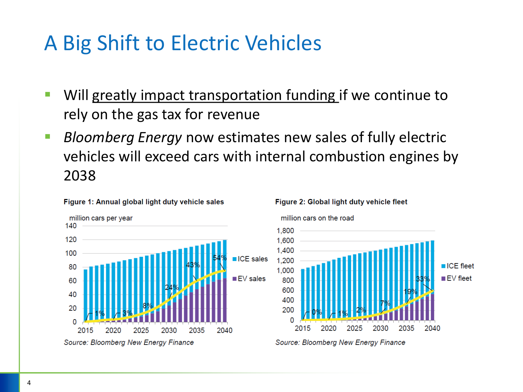#### A Big Shift to Electric Vehicles

- **E** Will greatly impact transportation funding if we continue to rely on the gas tax for revenue
- *Bloomberg Energy* now estimates new sales of fully electric vehicles will exceed cars with internal combustion engines by 2038



#### Figure 1: Annual global light duty vehicle sales

#### million cars on the road 1,800 1,600 1,400 1,200  $\blacksquare$  ICE fleet 1,000  $\blacksquare$  EV fleet 800 600 400 200 0 2015 2035 2040 2020 2025 2030 Source: Bloomberg New Energy Finance

Figure 2: Global light duty vehicle fleet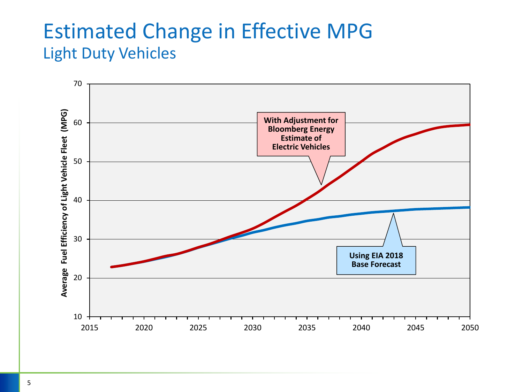#### Estimated Change in Effective MPG Light Duty Vehicles

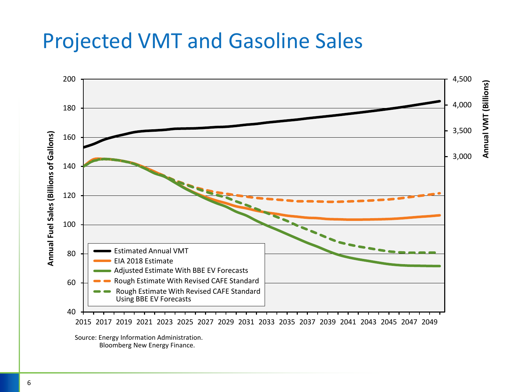#### Projected VMT and Gasoline Sales



Source: Energy Information Administration. Bloomberg New Energy Finance.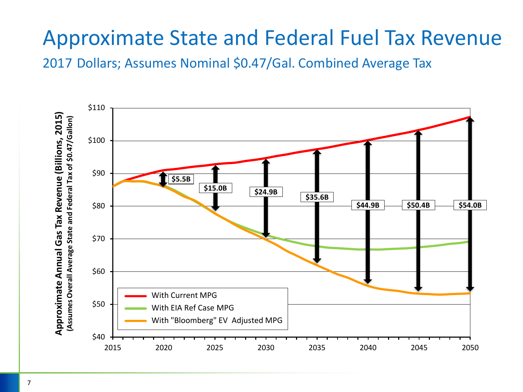### Approximate State and Federal Fuel Tax Revenue

2017 Dollars; Assumes Nominal \$0.47/Gal. Combined Average Tax

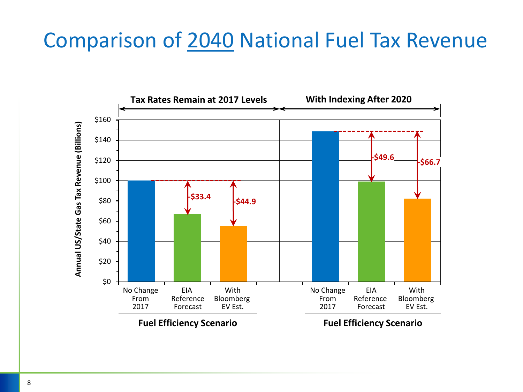#### Comparison of 2040 National Fuel Tax Revenue

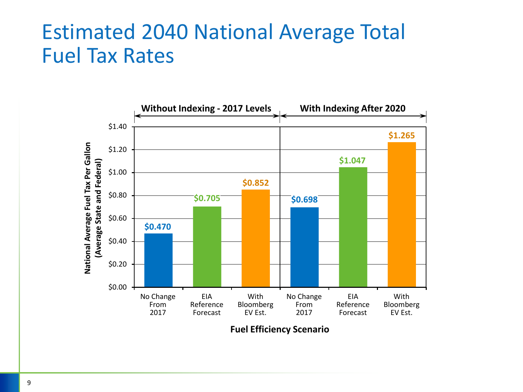#### Estimated 2040 National Average Total Fuel Tax Rates



**Fuel Efficiency Scenario**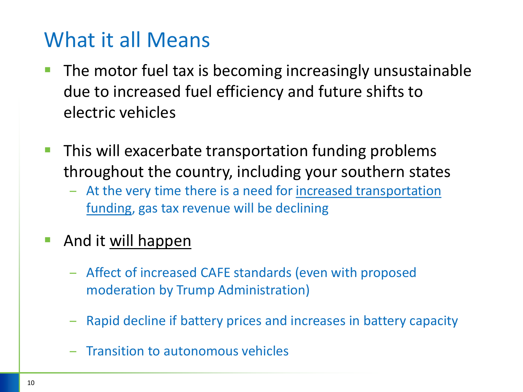#### What it all Means

- The motor fuel tax is becoming increasingly unsustainable due to increased fuel efficiency and future shifts to electric vehicles
- This will exacerbate transportation funding problems throughout the country, including your southern states
	- At the very time there is a need for increased transportation funding, gas tax revenue will be declining
- And it will happen
	- Affect of increased CAFE standards (even with proposed moderation by Trump Administration)
	- Rapid decline if battery prices and increases in battery capacity
	- Transition to autonomous vehicles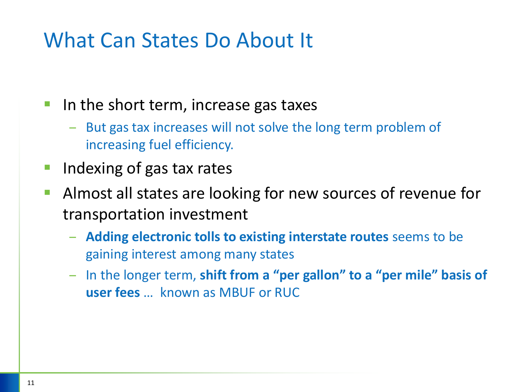#### What Can States Do About It

- In the short term, increase gas taxes
	- But gas tax increases will not solve the long term problem of increasing fuel efficiency.
- Indexing of gas tax rates
- Almost all states are looking for new sources of revenue for transportation investment
	- **Adding electronic tolls to existing interstate routes** seems to be gaining interest among many states
	- In the longer term, **shift from a "per gallon" to a "per mile" basis of user fees** … known as MBUF or RUC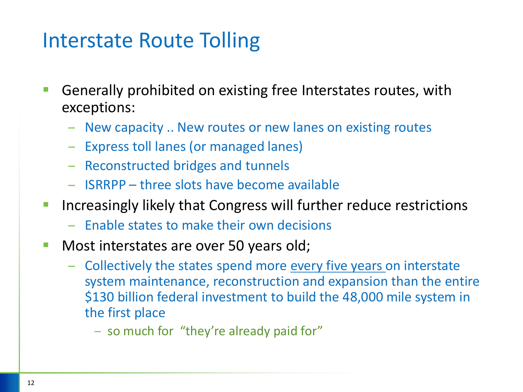#### Interstate Route Tolling

- Generally prohibited on existing free Interstates routes, with exceptions:
	- New capacity .. New routes or new lanes on existing routes
	- Express toll lanes (or managed lanes)
	- Reconstructed bridges and tunnels
	- ISRRPP three slots have become available
- **E** Increasingly likely that Congress will further reduce restrictions
	- Enable states to make their own decisions
- Most interstates are over 50 years old;
	- Collectively the states spend more every five years on interstate system maintenance, reconstruction and expansion than the entire \$130 billion federal investment to build the 48,000 mile system in the first place
		- so much for "they're already paid for"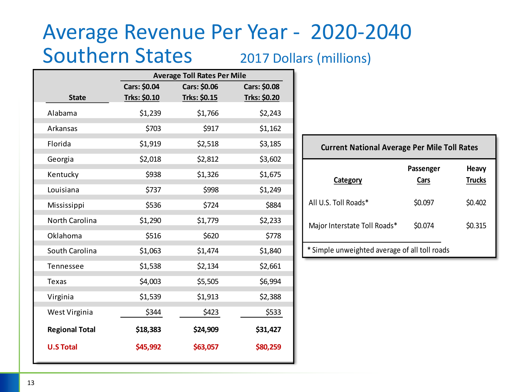#### Average Revenue Per Year - 2020-2040 Southern States 2017 Dollars (millions)

|                       | <b>Average Toll Rates Per Mile</b> |              |              |
|-----------------------|------------------------------------|--------------|--------------|
|                       | <b>Cars: \$0.04</b>                | Cars: \$0.06 | Cars: \$0.08 |
| <b>State</b>          | Trks: \$0.10                       | Trks: \$0.15 | Trks: \$0.20 |
| Alabama               | \$1,239                            | \$1,766      | \$2,243      |
| Arkansas              | \$703                              | \$917        | \$1,162      |
| Florida               | \$1,919                            | \$2,518      | \$3,185      |
| Georgia               | \$2,018                            | \$2,812      | \$3,602      |
| Kentucky              | \$938                              | \$1,326      | \$1,675      |
| Louisiana             | \$737                              | \$998        | \$1,249      |
| Mississippi           | \$536                              | \$724        | \$884        |
| North Carolina        | \$1,290                            | \$1,779      | \$2,233      |
| Oklahoma              | \$516                              | \$620        | \$778        |
| South Carolina        | \$1,063                            | \$1,474      | \$1,840      |
| Tennessee             | \$1,538                            | \$2,134      | \$2,661      |
| Texas                 | \$4,003                            | \$5,505      | \$6,994      |
| Virginia              | \$1,539                            | \$1,913      | \$2,388      |
| West Virginia         | \$344                              | \$423        | \$533        |
| <b>Regional Total</b> | \$18,383                           | \$24,909     | \$31,427     |
| <b>U.S Total</b>      | \$45,992                           | \$63,057     | \$80,259     |

| <b>Current National Average Per Mile Toll Rates</b> |                   |                               |  |
|-----------------------------------------------------|-------------------|-------------------------------|--|
| Category                                            | Passenger<br>Cars | <b>Heavy</b><br><b>Trucks</b> |  |
| All U.S. Toll Roads*                                | \$0.097           | \$0.402                       |  |
| Major Interstate Toll Roads*                        | \$0.074           | \$0.315                       |  |
| * Simple unweighted average of all toll roads       |                   |                               |  |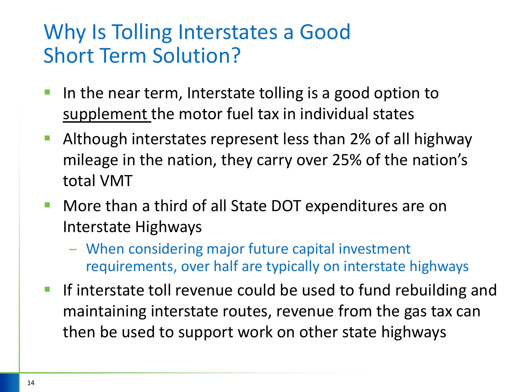#### Why Is Tolling Interstates a Good Short Term Solution?

- In the near term, Interstate tolling is a good option to supplement the motor fuel tax in individual states
- Although interstates represent less than 2% of all highway mileage in the nation, they carry over 25% of the nation's total VMT
- More than a third of all State DOT expenditures are on Interstate Highways
	- When considering major future capital investment requirements, over half are typically on interstate highways
- If interstate toll revenue could be used to fund rebuilding and maintaining interstate routes, revenue from the gas tax can then be used to support work on other state highways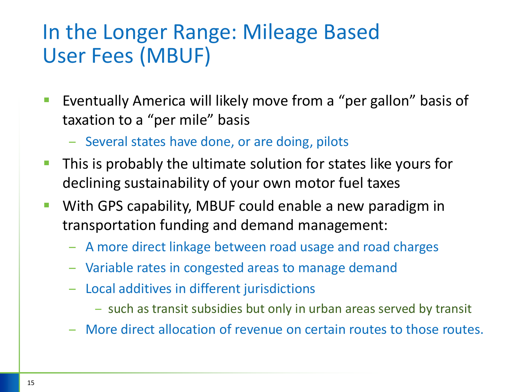#### In the Longer Range: Mileage Based User Fees (MBUF)

- Eventually America will likely move from a "per gallon" basis of taxation to a "per mile" basis
	- Several states have done, or are doing, pilots
- This is probably the ultimate solution for states like yours for declining sustainability of your own motor fuel taxes
- With GPS capability, MBUF could enable a new paradigm in transportation funding and demand management:
	- A more direct linkage between road usage and road charges
	- Variable rates in congested areas to manage demand
	- Local additives in different jurisdictions
		- such as transit subsidies but only in urban areas served by transit
	- More direct allocation of revenue on certain routes to those routes.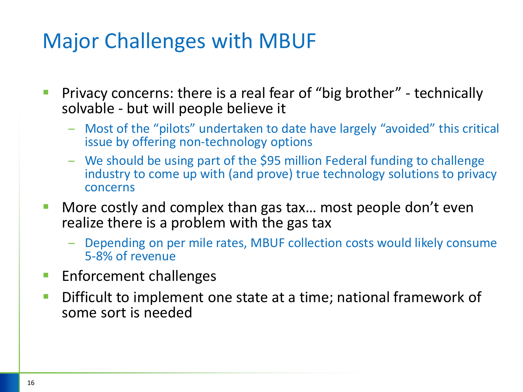#### Major Challenges with MBUF

- Privacy concerns: there is a real fear of "big brother" technically solvable - but will people believe it
	- Most of the "pilots" undertaken to date have largely "avoided" this critical issue by offering non-technology options
	- We should be using part of the \$95 million Federal funding to challenge industry to come up with (and prove) true technology solutions to privacy concerns
- More costly and complex than gas tax... most people don't even realize there is a problem with the gas tax
	- Depending on per mile rates, MBUF collection costs would likely consume 5-8% of revenue
- Enforcement challenges
- Difficult to implement one state at a time; national framework of some sort is needed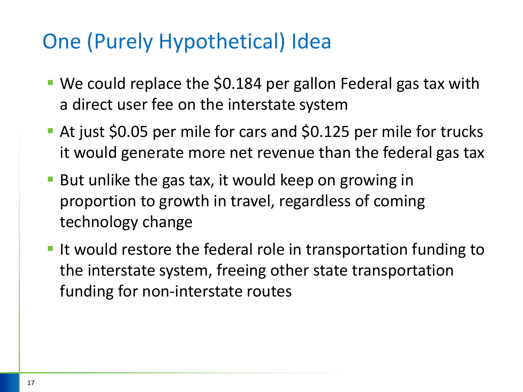#### One (Purely Hypothetical) Idea

- We could replace the \$0.184 per gallon Federal gas tax with a direct user fee on the interstate system
- At just \$0.05 per mile for cars and \$0.125 per mile for trucks it would generate more net revenue than the federal gas tax
- But unlike the gas tax, it would keep on growing in proportion to growth in travel, regardless of coming technology change
- It would restore the federal role in transportation funding to the interstate system, freeing other state transportation funding for non-interstate routes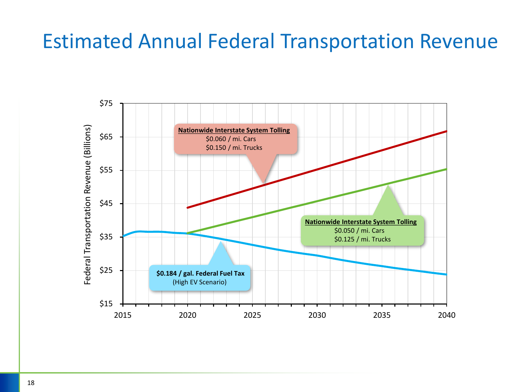#### Estimated Annual Federal Transportation Revenue

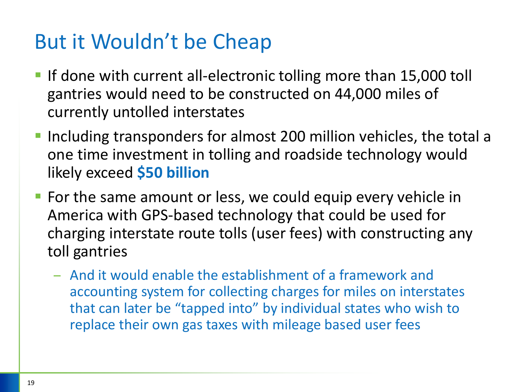#### But it Wouldn't be Cheap

- **If done with current all-electronic tolling more than 15,000 toll** gantries would need to be constructed on 44,000 miles of currently untolled interstates
- **Including transponders for almost 200 million vehicles, the total a** one time investment in tolling and roadside technology would likely exceed **\$50 billion**
- For the same amount or less, we could equip every vehicle in America with GPS-based technology that could be used for charging interstate route tolls (user fees) with constructing any toll gantries
	- And it would enable the establishment of a framework and accounting system for collecting charges for miles on interstates that can later be "tapped into" by individual states who wish to replace their own gas taxes with mileage based user fees